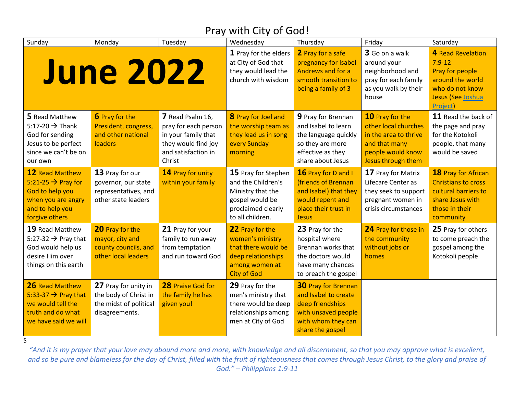### Pray with City of God!

| Sunday                                                                                                                                 | Monday                                                                                    | Tuesday                                                                                                                 | Wednesday                                                                                                                   | Thursday                                                                                                                                | Friday                                                                                                                       | Saturday                                                                                                                     |
|----------------------------------------------------------------------------------------------------------------------------------------|-------------------------------------------------------------------------------------------|-------------------------------------------------------------------------------------------------------------------------|-----------------------------------------------------------------------------------------------------------------------------|-----------------------------------------------------------------------------------------------------------------------------------------|------------------------------------------------------------------------------------------------------------------------------|------------------------------------------------------------------------------------------------------------------------------|
|                                                                                                                                        | <b>June 2022</b>                                                                          |                                                                                                                         | 1 Pray for the elders<br>at City of God that<br>they would lead the<br>church with wisdom                                   | 2 Pray for a safe<br>pregnancy for Isabel<br>Andrews and for a<br>smooth transition to<br>being a family of 3                           | 3 Go on a walk<br>around your<br>neighborhood and<br>pray for each family<br>as you walk by their<br>house                   | 4 Read Revelation<br>$7:9-12$<br>Pray for people<br>around the world<br>who do not know<br>Jesus (See Joshua<br>Project)     |
| 5 Read Matthew<br>5:17-20 $\rightarrow$ Thank<br>God for sending<br>Jesus to be perfect<br>since we can't be on<br>our own             | 6 Pray for the<br>President, congress,<br>and other national<br>leaders                   | 7 Read Psalm 16,<br>pray for each person<br>in your family that<br>they would find joy<br>and satisfaction in<br>Christ | 8 Pray for Joel and<br>the worship team as<br>they lead us in song<br>every Sunday<br>morning                               | 9 Pray for Brennan<br>and Isabel to learn<br>the language quickly<br>so they are more<br>effective as they<br>share about Jesus         | 10 Pray for the<br>other local churches<br>in the area to thrive<br>and that many<br>people would know<br>Jesus through them | 11 Read the back of<br>the page and pray<br>for the Kotokoli<br>people, that many<br>would be saved                          |
| <b>12 Read Matthew</b><br>5:21-25 $\rightarrow$ Pray for<br>God to help you<br>when you are angry<br>and to help you<br>forgive others | 13 Pray for our<br>governor, our state<br>representatives, and<br>other state leaders     | 14 Pray for unity<br>within your family                                                                                 | 15 Pray for Stephen<br>and the Children's<br>Ministry that the<br>gospel would be<br>proclaimed clearly<br>to all children. | 16 Pray for D and I<br>(friends of Brennan<br>and Isabel) that they<br>would repent and<br>place their trust in<br><b>Jesus</b>         | 17 Pray for Matrix<br>Lifecare Center as<br>they seek to support<br>pregnant women in<br>crisis circumstances                | 18 Pray for African<br><b>Christians to cross</b><br>cultural barriers to<br>share Jesus with<br>those in their<br>community |
| 19 Read Matthew<br>5:27-32 $\rightarrow$ Pray that<br>God would help us<br>desire Him over<br>things on this earth                     | 20 Pray for the<br>mayor, city and<br>county councils, and<br>other local leaders         | 21 Pray for your<br>family to run away<br>from temptation<br>and run toward God                                         | 22 Pray for the<br>women's ministry<br>that there would be<br>deep relationships<br>among women at<br><b>City of God</b>    | 23 Pray for the<br>hospital where<br>Brennan works that<br>the doctors would<br>have many chances<br>to preach the gospel               | 24 Pray for those in<br>the community<br>without jobs or<br>homes                                                            | 25 Pray for others<br>to come preach the<br>gospel among the<br>Kotokoli people                                              |
| 26 Read Matthew<br>5:33-37 $\rightarrow$ Pray that<br>we would tell the<br>truth and do what<br>we have said we will                   | 27 Pray for unity in<br>the body of Christ in<br>the midst of political<br>disagreements. | 28 Praise God for<br>the family he has<br>given you!                                                                    | 29 Pray for the<br>men's ministry that<br>there would be deep<br>relationships among<br>men at City of God                  | <b>30 Pray for Brennan</b><br>and Isabel to create<br>deep friendships<br>with unsaved people<br>with whom they can<br>share the gospel |                                                                                                                              |                                                                                                                              |

S

*"And it is my prayer that your love may abound more and more, with knowledge and all discernment, so that you may approve what is excellent, and so be pure and blameless for the day of Christ, filled with the fruit of righteousness that comes through Jesus Christ, to the glory and praise of God." – Philippians 1:9-11*